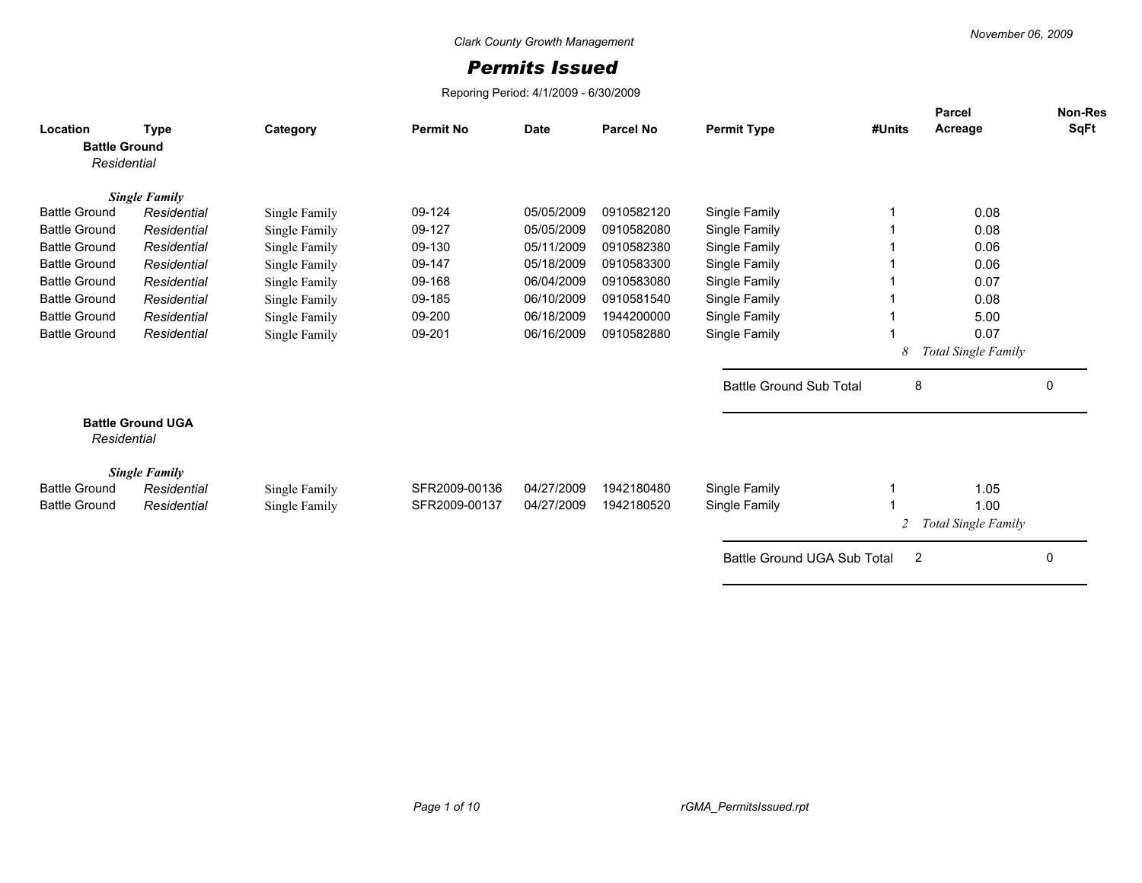## *Permits Issued*

Reporing Period: 4/1/2009 - 6/30/2009

| Location<br><b>Battle Ground</b><br>Residential | <b>Type</b>                         | Category      | <b>Permit No</b> | <b>Date</b> | <b>Parcel No</b> | <b>Permit Type</b>                 | #Units | <b>Parcel</b><br>Acreage | <b>Non-Res</b><br>SqFt |
|-------------------------------------------------|-------------------------------------|---------------|------------------|-------------|------------------|------------------------------------|--------|--------------------------|------------------------|
|                                                 | <b>Single Family</b>                |               |                  |             |                  |                                    |        |                          |                        |
| <b>Battle Ground</b>                            | Residential                         | Single Family | 09-124           | 05/05/2009  | 0910582120       | Single Family                      |        | 0.08                     |                        |
| <b>Battle Ground</b>                            | Residential                         | Single Family | 09-127           | 05/05/2009  | 0910582080       | Single Family                      |        | 0.08                     |                        |
| <b>Battle Ground</b>                            | Residential                         | Single Family | 09-130           | 05/11/2009  | 0910582380       | Single Family                      |        | 0.06                     |                        |
| <b>Battle Ground</b>                            | Residential                         | Single Family | 09-147           | 05/18/2009  | 0910583300       | Single Family                      |        | 0.06                     |                        |
| <b>Battle Ground</b>                            | Residential                         | Single Family | 09-168           | 06/04/2009  | 0910583080       | Single Family                      |        | 0.07                     |                        |
| <b>Battle Ground</b>                            | Residential                         | Single Family | 09-185           | 06/10/2009  | 0910581540       | Single Family                      |        | 0.08                     |                        |
| <b>Battle Ground</b>                            | Residential                         | Single Family | 09-200           | 06/18/2009  | 1944200000       | Single Family                      |        | 5.00                     |                        |
| <b>Battle Ground</b>                            | Residential                         | Single Family | 09-201           | 06/16/2009  | 0910582880       | Single Family                      |        | 0.07                     |                        |
|                                                 |                                     |               |                  |             |                  |                                    | 8      | Total Single Family      |                        |
|                                                 |                                     |               |                  |             |                  | <b>Battle Ground Sub Total</b>     | 8      |                          | 0                      |
| Residential                                     | <b>Battle Ground UGA</b>            |               |                  |             |                  |                                    |        |                          |                        |
| <b>Battle Ground</b>                            | <b>Single Family</b><br>Residential | Single Family | SFR2009-00136    | 04/27/2009  | 1942180480       | Single Family                      |        | 1.05                     |                        |
| <b>Battle Ground</b>                            | Residential                         | Single Family | SFR2009-00137    | 04/27/2009  | 1942180520       | Single Family                      |        | 1.00                     |                        |
|                                                 |                                     |               |                  |             |                  |                                    |        | Total Single Family      |                        |
|                                                 |                                     |               |                  |             |                  | <b>Battle Ground UGA Sub Total</b> | 2      |                          | 0                      |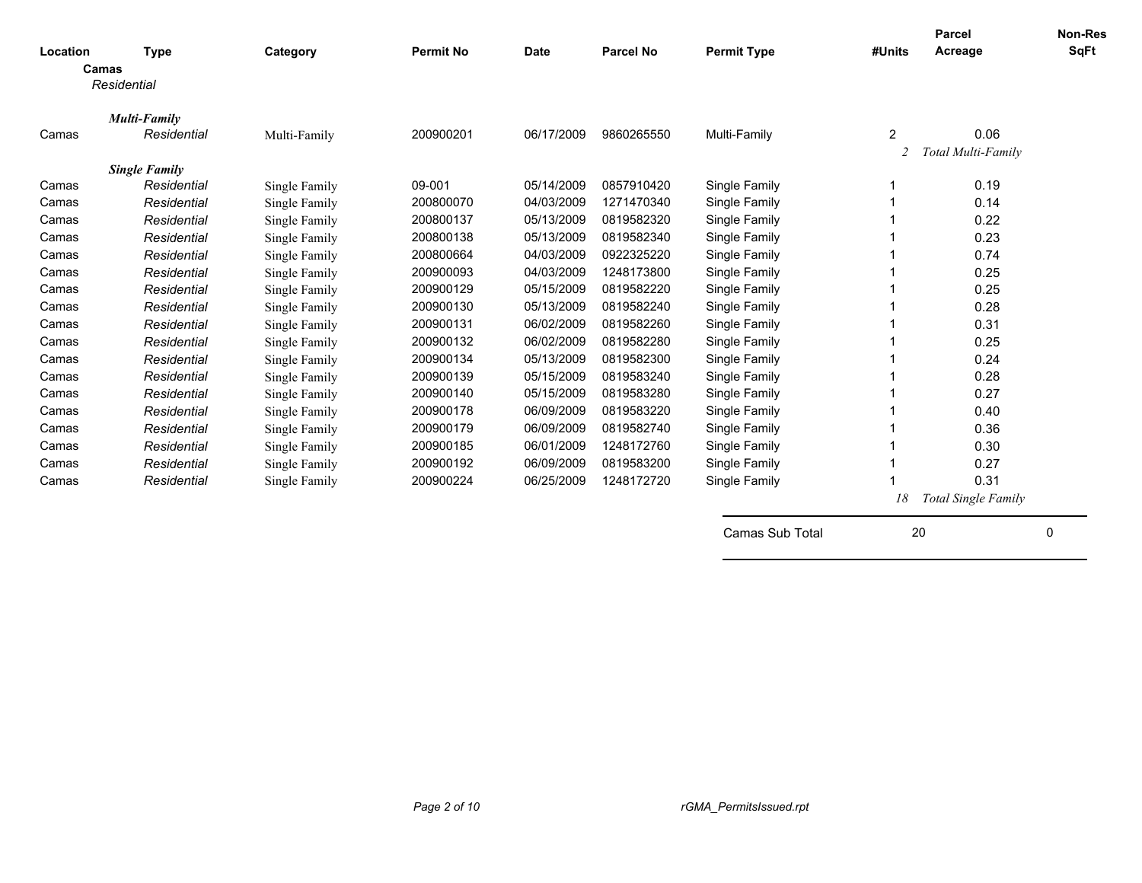| Location<br>Camas | <b>Type</b>          | Category      | <b>Permit No</b> | <b>Date</b> | Parcel No  | <b>Permit Type</b> | #Units | <b>Parcel</b><br>Acreage | Non-Res<br><b>SqFt</b> |
|-------------------|----------------------|---------------|------------------|-------------|------------|--------------------|--------|--------------------------|------------------------|
|                   | Residential          |               |                  |             |            |                    |        |                          |                        |
|                   | Multi-Family         |               |                  |             |            |                    |        |                          |                        |
| Camas             | Residential          | Multi-Family  | 200900201        | 06/17/2009  | 9860265550 | Multi-Family       | 2      | 0.06                     |                        |
|                   |                      |               |                  |             |            |                    | 2      | Total Multi-Family       |                        |
|                   | <b>Single Family</b> |               |                  |             |            |                    |        |                          |                        |
| Camas             | Residential          | Single Family | 09-001           | 05/14/2009  | 0857910420 | Single Family      |        | 0.19                     |                        |
| Camas             | Residential          | Single Family | 200800070        | 04/03/2009  | 1271470340 | Single Family      |        | 0.14                     |                        |
| Camas             | Residential          | Single Family | 200800137        | 05/13/2009  | 0819582320 | Single Family      |        | 0.22                     |                        |
| Camas             | Residential          | Single Family | 200800138        | 05/13/2009  | 0819582340 | Single Family      |        | 0.23                     |                        |
| Camas             | Residential          | Single Family | 200800664        | 04/03/2009  | 0922325220 | Single Family      |        | 0.74                     |                        |
| Camas             | Residential          | Single Family | 200900093        | 04/03/2009  | 1248173800 | Single Family      |        | 0.25                     |                        |
| Camas             | Residential          | Single Family | 200900129        | 05/15/2009  | 0819582220 | Single Family      |        | 0.25                     |                        |
| Camas             | Residential          | Single Family | 200900130        | 05/13/2009  | 0819582240 | Single Family      |        | 0.28                     |                        |
| Camas             | Residential          | Single Family | 200900131        | 06/02/2009  | 0819582260 | Single Family      |        | 0.31                     |                        |
| Camas             | Residential          | Single Family | 200900132        | 06/02/2009  | 0819582280 | Single Family      |        | 0.25                     |                        |
| Camas             | Residential          | Single Family | 200900134        | 05/13/2009  | 0819582300 | Single Family      |        | 0.24                     |                        |
| Camas             | Residential          | Single Family | 200900139        | 05/15/2009  | 0819583240 | Single Family      |        | 0.28                     |                        |
| Camas             | Residential          | Single Family | 200900140        | 05/15/2009  | 0819583280 | Single Family      |        | 0.27                     |                        |
| Camas             | Residential          | Single Family | 200900178        | 06/09/2009  | 0819583220 | Single Family      |        | 0.40                     |                        |
| Camas             | Residential          | Single Family | 200900179        | 06/09/2009  | 0819582740 | Single Family      |        | 0.36                     |                        |
| Camas             | Residential          | Single Family | 200900185        | 06/01/2009  | 1248172760 | Single Family      |        | 0.30                     |                        |
| Camas             | Residential          | Single Family | 200900192        | 06/09/2009  | 0819583200 | Single Family      |        | 0.27                     |                        |
| Camas             | Residential          | Single Family | 200900224        | 06/25/2009  | 1248172720 | Single Family      |        | 0.31                     |                        |
|                   |                      |               |                  |             |            |                    | 18     | Total Single Family      |                        |
|                   |                      |               |                  |             |            | Camas Sub Total    | 20     |                          | 0                      |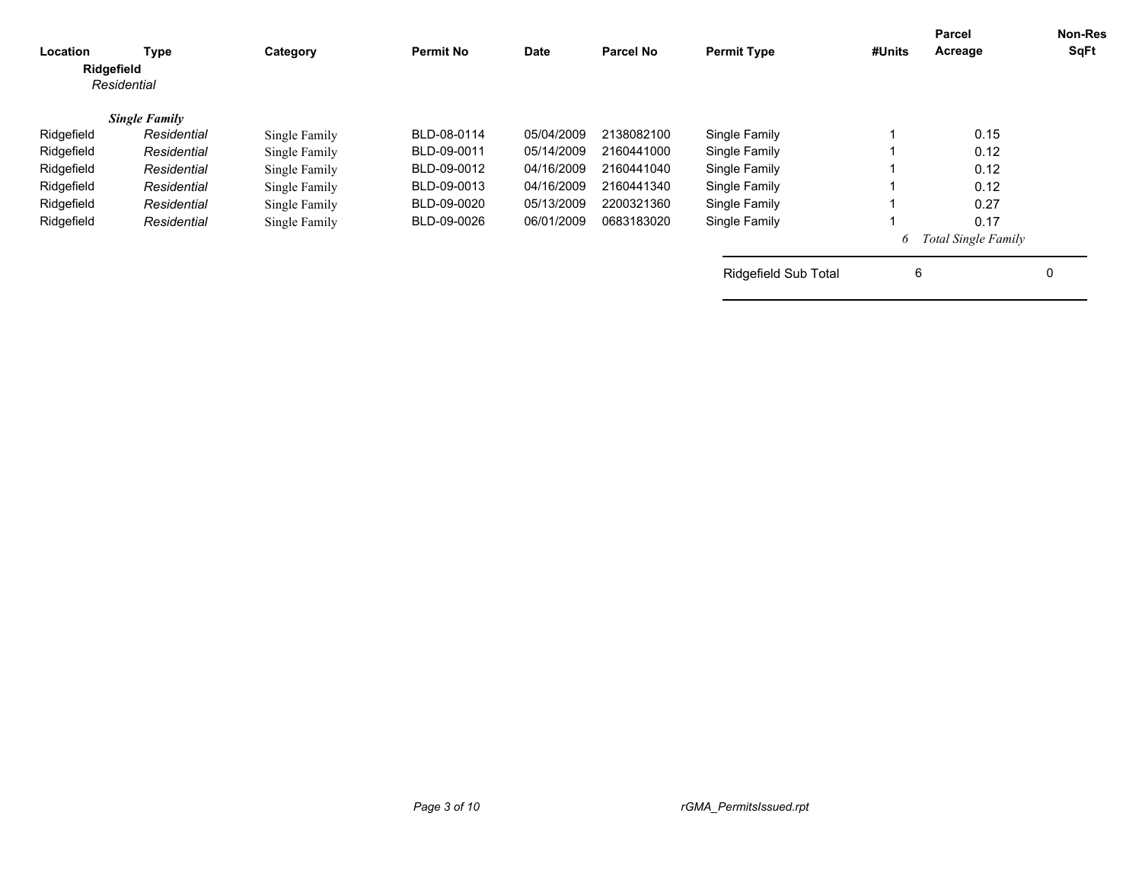| Location<br>Ridgefield | Type<br>Residential  | Category      | <b>Permit No</b> | <b>Date</b> | <b>Parcel No</b> | <b>Permit Type</b>          | #Units | <b>Parcel</b><br>Acreage   | <b>Non-Res</b><br>SqFt |
|------------------------|----------------------|---------------|------------------|-------------|------------------|-----------------------------|--------|----------------------------|------------------------|
|                        | <b>Single Family</b> |               |                  |             |                  |                             |        |                            |                        |
| Ridgefield             | Residential          | Single Family | BLD-08-0114      | 05/04/2009  | 2138082100       | Single Family               |        | 0.15                       |                        |
| Ridgefield             | Residential          | Single Family | BLD-09-0011      | 05/14/2009  | 2160441000       | Single Family               |        | 0.12                       |                        |
| Ridgefield             | Residential          | Single Family | BLD-09-0012      | 04/16/2009  | 2160441040       | Single Family               |        | 0.12                       |                        |
| Ridgefield             | Residential          | Single Family | BLD-09-0013      | 04/16/2009  | 2160441340       | Single Family               |        | 0.12                       |                        |
| Ridgefield             | Residential          | Single Family | BLD-09-0020      | 05/13/2009  | 2200321360       | Single Family               |        | 0.27                       |                        |
| Ridgefield             | Residential          | Single Family | BLD-09-0026      | 06/01/2009  | 0683183020       | Single Family               |        | 0.17                       |                        |
|                        |                      |               |                  |             |                  |                             | 6      | <b>Total Single Family</b> |                        |
|                        |                      |               |                  |             |                  | <b>Ridgefield Sub Total</b> | 6      |                            | 0                      |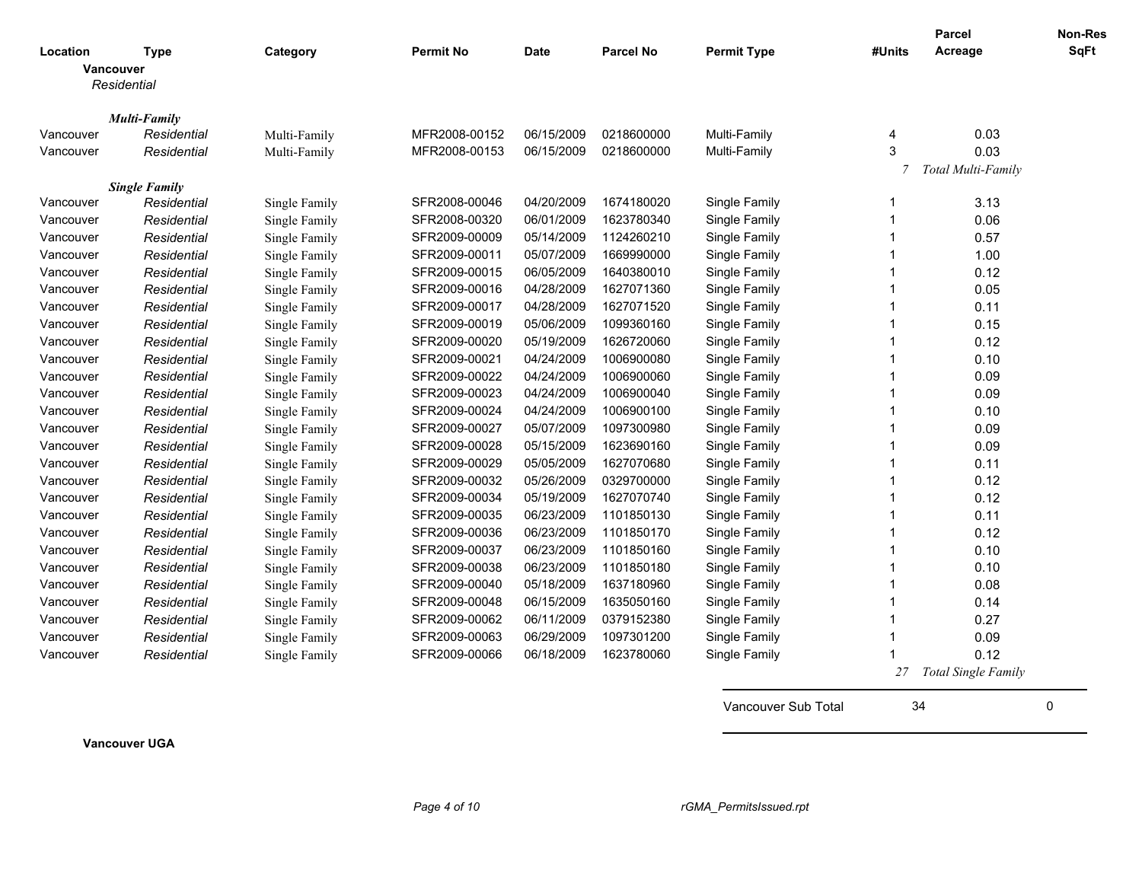|           |                                                |               |                  |             |                  |                    |        | <b>Parcel</b>              | Non-Res     |
|-----------|------------------------------------------------|---------------|------------------|-------------|------------------|--------------------|--------|----------------------------|-------------|
| Location  | <b>Type</b><br><b>Vancouver</b><br>Residential | Category      | <b>Permit No</b> | <b>Date</b> | <b>Parcel No</b> | <b>Permit Type</b> | #Units | Acreage                    | <b>SqFt</b> |
|           | <b>Multi-Family</b>                            |               |                  |             |                  |                    |        |                            |             |
| Vancouver | Residential                                    | Multi-Family  | MFR2008-00152    | 06/15/2009  | 0218600000       | Multi-Family       | 4      | 0.03                       |             |
| Vancouver | Residential                                    | Multi-Family  | MFR2008-00153    | 06/15/2009  | 0218600000       | Multi-Family       | 3      | 0.03                       |             |
|           |                                                |               |                  |             |                  |                    | 7      | Total Multi-Family         |             |
|           | <b>Single Family</b>                           |               |                  |             |                  |                    |        |                            |             |
| Vancouver | Residential                                    | Single Family | SFR2008-00046    | 04/20/2009  | 1674180020       | Single Family      | 1      | 3.13                       |             |
| Vancouver | Residential                                    | Single Family | SFR2008-00320    | 06/01/2009  | 1623780340       | Single Family      | 1      | 0.06                       |             |
| Vancouver | Residential                                    | Single Family | SFR2009-00009    | 05/14/2009  | 1124260210       | Single Family      | 1      | 0.57                       |             |
| Vancouver | Residential                                    | Single Family | SFR2009-00011    | 05/07/2009  | 1669990000       | Single Family      | 1      | 1.00                       |             |
| Vancouver | Residential                                    | Single Family | SFR2009-00015    | 06/05/2009  | 1640380010       | Single Family      | 1      | 0.12                       |             |
| Vancouver | Residential                                    | Single Family | SFR2009-00016    | 04/28/2009  | 1627071360       | Single Family      | 1      | 0.05                       |             |
| Vancouver | Residential                                    | Single Family | SFR2009-00017    | 04/28/2009  | 1627071520       | Single Family      | 1      | 0.11                       |             |
| Vancouver | Residential                                    | Single Family | SFR2009-00019    | 05/06/2009  | 1099360160       | Single Family      | 1      | 0.15                       |             |
| Vancouver | Residential                                    | Single Family | SFR2009-00020    | 05/19/2009  | 1626720060       | Single Family      | 1      | 0.12                       |             |
| Vancouver | Residential                                    | Single Family | SFR2009-00021    | 04/24/2009  | 1006900080       | Single Family      | 1      | 0.10                       |             |
| Vancouver | Residential                                    | Single Family | SFR2009-00022    | 04/24/2009  | 1006900060       | Single Family      | 1      | 0.09                       |             |
| Vancouver | Residential                                    | Single Family | SFR2009-00023    | 04/24/2009  | 1006900040       | Single Family      | 1      | 0.09                       |             |
| Vancouver | Residential                                    | Single Family | SFR2009-00024    | 04/24/2009  | 1006900100       | Single Family      | 1      | 0.10                       |             |
| Vancouver | Residential                                    | Single Family | SFR2009-00027    | 05/07/2009  | 1097300980       | Single Family      | -1     | 0.09                       |             |
| Vancouver | Residential                                    | Single Family | SFR2009-00028    | 05/15/2009  | 1623690160       | Single Family      | 1      | 0.09                       |             |
| Vancouver | Residential                                    | Single Family | SFR2009-00029    | 05/05/2009  | 1627070680       | Single Family      | 1      | 0.11                       |             |
| Vancouver | Residential                                    | Single Family | SFR2009-00032    | 05/26/2009  | 0329700000       | Single Family      | 1      | 0.12                       |             |
| Vancouver | Residential                                    | Single Family | SFR2009-00034    | 05/19/2009  | 1627070740       | Single Family      | 1      | 0.12                       |             |
| Vancouver | Residential                                    | Single Family | SFR2009-00035    | 06/23/2009  | 1101850130       | Single Family      | 1      | 0.11                       |             |
| Vancouver | Residential                                    | Single Family | SFR2009-00036    | 06/23/2009  | 1101850170       | Single Family      | -1     | 0.12                       |             |
| Vancouver | Residential                                    | Single Family | SFR2009-00037    | 06/23/2009  | 1101850160       | Single Family      | 1      | 0.10                       |             |
| Vancouver | Residential                                    | Single Family | SFR2009-00038    | 06/23/2009  | 1101850180       | Single Family      | 1      | 0.10                       |             |
| Vancouver | Residential                                    | Single Family | SFR2009-00040    | 05/18/2009  | 1637180960       | Single Family      | 1      | 0.08                       |             |
| Vancouver | Residential                                    | Single Family | SFR2009-00048    | 06/15/2009  | 1635050160       | Single Family      | 1      | 0.14                       |             |
| Vancouver | Residential                                    | Single Family | SFR2009-00062    | 06/11/2009  | 0379152380       | Single Family      | 1      | 0.27                       |             |
| Vancouver | Residential                                    | Single Family | SFR2009-00063    | 06/29/2009  | 1097301200       | Single Family      | -1     | 0.09                       |             |
| Vancouver | Residential                                    | Single Family | SFR2009-00066    | 06/18/2009  | 1623780060       | Single Family      |        | 0.12                       |             |
|           |                                                |               |                  |             |                  |                    | 27     | <b>Total Single Family</b> |             |

**Vancouver UGA**

Vancouver Sub Total 34 0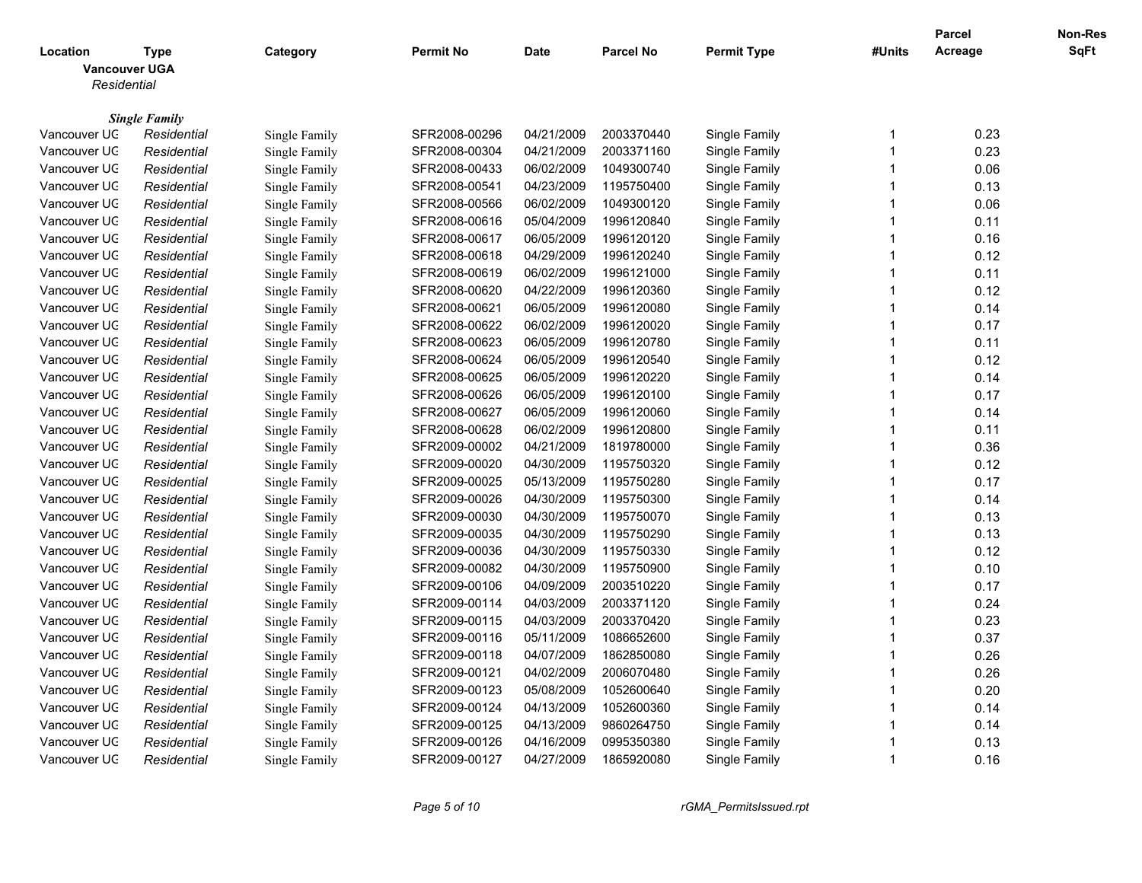|                              |                      |                      |                  |                          |                          |                                |                         | <b>Parcel</b> | Non-Res     |
|------------------------------|----------------------|----------------------|------------------|--------------------------|--------------------------|--------------------------------|-------------------------|---------------|-------------|
| Location                     | Type                 | Category             | <b>Permit No</b> | <b>Date</b>              | <b>Parcel No</b>         | <b>Permit Type</b>             | #Units                  | Acreage       | <b>SqFt</b> |
| <b>Vancouver UGA</b>         |                      |                      |                  |                          |                          |                                |                         |               |             |
| Residential                  |                      |                      |                  |                          |                          |                                |                         |               |             |
|                              |                      |                      |                  |                          |                          |                                |                         |               |             |
|                              | <b>Single Family</b> |                      |                  |                          |                          |                                |                         |               |             |
| Vancouver UC                 | Residential          | Single Family        | SFR2008-00296    | 04/21/2009               | 2003370440               | Single Family                  | -1                      | 0.23          |             |
| Vancouver UC                 | Residential          | <b>Single Family</b> | SFR2008-00304    | 04/21/2009               | 2003371160               | Single Family                  | -1                      | 0.23          |             |
| Vancouver UC                 | Residential          | Single Family        | SFR2008-00433    | 06/02/2009               | 1049300740               | Single Family                  | $\overline{1}$          | 0.06          |             |
| Vancouver UC                 | Residential          | Single Family        | SFR2008-00541    | 04/23/2009               | 1195750400               | Single Family                  | $\overline{1}$          | 0.13          |             |
| Vancouver UC                 | Residential          | Single Family        | SFR2008-00566    | 06/02/2009               | 1049300120               | Single Family                  | $\overline{1}$          | 0.06          |             |
| Vancouver UC                 | Residential          | Single Family        | SFR2008-00616    | 05/04/2009               | 1996120840               | Single Family                  | 1                       | 0.11          |             |
| Vancouver UC                 | Residential          | Single Family        | SFR2008-00617    | 06/05/2009               | 1996120120               | Single Family                  | $\overline{1}$          | 0.16          |             |
| Vancouver UC                 | Residential          | Single Family        | SFR2008-00618    | 04/29/2009               | 1996120240               | Single Family                  | $\overline{1}$          | 0.12          |             |
| Vancouver UC                 | Residential          | Single Family        | SFR2008-00619    | 06/02/2009               | 1996121000               | Single Family                  | $\mathbf 1$             | 0.11          |             |
| Vancouver UC                 | Residential          | Single Family        | SFR2008-00620    | 04/22/2009               | 1996120360               | Single Family                  | $\overline{1}$          | 0.12          |             |
| Vancouver UC                 | Residential          | Single Family        | SFR2008-00621    | 06/05/2009               | 1996120080               | Single Family                  | $\overline{1}$          | 0.14          |             |
| Vancouver UC                 | Residential          | Single Family        | SFR2008-00622    | 06/02/2009               | 1996120020               | Single Family                  | $\overline{1}$          | 0.17          |             |
| Vancouver UC                 | Residential          | <b>Single Family</b> | SFR2008-00623    | 06/05/2009               | 1996120780               | Single Family                  | $\overline{\mathbf{1}}$ | 0.11          |             |
| Vancouver UC                 | Residential          | Single Family        | SFR2008-00624    | 06/05/2009               | 1996120540               | Single Family                  | $\overline{1}$          | 0.12          |             |
| Vancouver UC                 | Residential          | Single Family        | SFR2008-00625    | 06/05/2009               | 1996120220               | Single Family                  | $\overline{1}$          | 0.14          |             |
| Vancouver UC                 | Residential          | Single Family        | SFR2008-00626    | 06/05/2009               | 1996120100               | Single Family                  | $\overline{1}$          | 0.17          |             |
| Vancouver UC                 | Residential          | Single Family        | SFR2008-00627    | 06/05/2009               | 1996120060               | Single Family                  | -1                      | 0.14          |             |
| Vancouver UC                 | Residential          | Single Family        | SFR2008-00628    | 06/02/2009               | 1996120800               | Single Family                  | $\overline{1}$          | 0.11          |             |
| Vancouver UC                 | Residential          | Single Family        | SFR2009-00002    | 04/21/2009               | 1819780000               | Single Family                  | 1                       | 0.36          |             |
| Vancouver UC                 | Residential          | Single Family        | SFR2009-00020    | 04/30/2009               | 1195750320               | Single Family                  | $\overline{1}$          | 0.12          |             |
| Vancouver UC                 | Residential          | Single Family        | SFR2009-00025    | 05/13/2009               | 1195750280               | Single Family                  | 1                       | 0.17          |             |
| Vancouver UC                 | Residential          | Single Family        | SFR2009-00026    | 04/30/2009               | 1195750300               | Single Family                  | $\overline{1}$          | 0.14          |             |
| Vancouver UC                 | Residential          | Single Family        | SFR2009-00030    | 04/30/2009               | 1195750070               | Single Family                  | $\overline{1}$          | 0.13          |             |
| Vancouver UC                 | Residential          | Single Family        | SFR2009-00035    | 04/30/2009               | 1195750290               | Single Family                  | $\mathbf 1$             | 0.13          |             |
| Vancouver UC                 | Residential          | <b>Single Family</b> | SFR2009-00036    | 04/30/2009               | 1195750330               | Single Family                  | $\overline{1}$          | 0.12          |             |
| Vancouver UC                 | Residential          | Single Family        | SFR2009-00082    | 04/30/2009               | 1195750900               | Single Family                  | $\overline{1}$          | 0.10          |             |
| Vancouver UC                 | Residential          | Single Family        | SFR2009-00106    | 04/09/2009               | 2003510220               | Single Family                  | $\overline{1}$          | 0.17          |             |
| Vancouver UC                 | Residential          | Single Family        | SFR2009-00114    | 04/03/2009               | 2003371120               | Single Family                  | $\overline{1}$          | 0.24          |             |
| Vancouver UC                 | Residential          | Single Family        | SFR2009-00115    | 04/03/2009               | 2003370420               | Single Family                  | $\overline{1}$          | 0.23          |             |
| Vancouver UC                 | Residential          | Single Family        | SFR2009-00116    | 05/11/2009               | 1086652600               | Single Family                  | $\overline{\mathbf{1}}$ | 0.37          |             |
| Vancouver UC                 | Residential          | Single Family        | SFR2009-00118    | 04/07/2009               | 1862850080               | Single Family                  | $\overline{1}$          | 0.26          |             |
| Vancouver UC                 | Residential          | Single Family        | SFR2009-00121    | 04/02/2009               | 2006070480               | Single Family                  | -1                      | 0.26          |             |
| Vancouver UC                 | Residential          | Single Family        | SFR2009-00123    | 05/08/2009               | 1052600640               | Single Family                  | $\overline{1}$          | 0.20          |             |
| Vancouver UC                 | Residential          | Single Family        | SFR2009-00124    | 04/13/2009               | 1052600360               | Single Family                  | 1                       | 0.14          |             |
|                              |                      |                      |                  |                          |                          |                                | -1                      | 0.14          |             |
| Vancouver UC<br>Vancouver UC | Residential          | Single Family        | SFR2009-00125    | 04/13/2009<br>04/16/2009 | 9860264750               | Single Family<br>Single Family | 1                       | 0.13          |             |
|                              | Residential          | Single Family        | SFR2009-00126    | 04/27/2009               | 0995350380<br>1865920080 |                                | $\overline{1}$          | 0.16          |             |
| Vancouver UC                 | Residential          | Single Family        | SFR2009-00127    |                          |                          | Single Family                  |                         |               |             |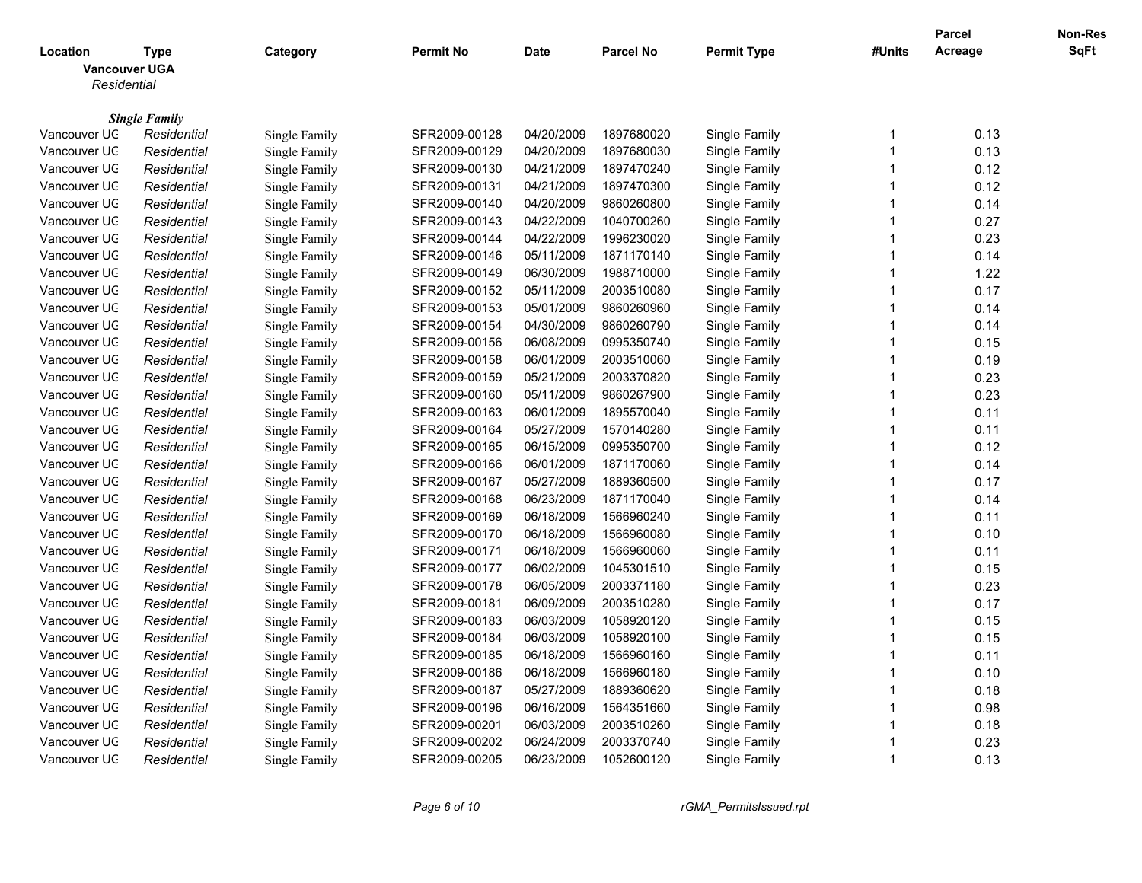|                                  |                      |               |                  |             |                  |                    |                         | <b>Parcel</b> | Non-Res |
|----------------------------------|----------------------|---------------|------------------|-------------|------------------|--------------------|-------------------------|---------------|---------|
| Location<br><b>Vancouver UGA</b> | <b>Type</b>          | Category      | <b>Permit No</b> | <b>Date</b> | <b>Parcel No</b> | <b>Permit Type</b> | #Units                  | Acreage       | SqFt    |
| Residential                      |                      |               |                  |             |                  |                    |                         |               |         |
|                                  |                      |               |                  |             |                  |                    |                         |               |         |
|                                  | <b>Single Family</b> |               |                  |             |                  |                    |                         |               |         |
| Vancouver UC                     | Residential          | Single Family | SFR2009-00128    | 04/20/2009  | 1897680020       | Single Family      | $\mathbf 1$             | 0.13          |         |
| Vancouver UC                     | Residential          | Single Family | SFR2009-00129    | 04/20/2009  | 1897680030       | Single Family      | $\overline{1}$          | 0.13          |         |
| Vancouver UC                     | Residential          | Single Family | SFR2009-00130    | 04/21/2009  | 1897470240       | Single Family      | $\overline{1}$          | 0.12          |         |
| Vancouver UC                     | Residential          | Single Family | SFR2009-00131    | 04/21/2009  | 1897470300       | Single Family      | $\overline{1}$          | 0.12          |         |
| Vancouver UC                     | Residential          | Single Family | SFR2009-00140    | 04/20/2009  | 9860260800       | Single Family      | $\mathbf 1$             | 0.14          |         |
| Vancouver UC                     | Residential          | Single Family | SFR2009-00143    | 04/22/2009  | 1040700260       | Single Family      | $\overline{1}$          | 0.27          |         |
| Vancouver UC                     | Residential          | Single Family | SFR2009-00144    | 04/22/2009  | 1996230020       | Single Family      | $\overline{\mathbf{1}}$ | 0.23          |         |
| Vancouver UC                     | Residential          | Single Family | SFR2009-00146    | 05/11/2009  | 1871170140       | Single Family      | $\overline{1}$          | 0.14          |         |
| Vancouver UC                     | Residential          | Single Family | SFR2009-00149    | 06/30/2009  | 1988710000       | Single Family      | -1                      | 1.22          |         |
| Vancouver UC                     | Residential          | Single Family | SFR2009-00152    | 05/11/2009  | 2003510080       | Single Family      | $\overline{1}$          | 0.17          |         |
| Vancouver UC                     | Residential          | Single Family | SFR2009-00153    | 05/01/2009  | 9860260960       | Single Family      | $\overline{1}$          | 0.14          |         |
| Vancouver UC                     | Residential          | Single Family | SFR2009-00154    | 04/30/2009  | 9860260790       | Single Family      | $\overline{1}$          | 0.14          |         |
| Vancouver UC                     | Residential          | Single Family | SFR2009-00156    | 06/08/2009  | 0995350740       | Single Family      | 1                       | 0.15          |         |
| Vancouver UC                     | Residential          | Single Family | SFR2009-00158    | 06/01/2009  | 2003510060       | Single Family      | $\overline{1}$          | 0.19          |         |
| Vancouver UC                     | Residential          | Single Family | SFR2009-00159    | 05/21/2009  | 2003370820       | Single Family      | 1                       | 0.23          |         |
| Vancouver UC                     | Residential          | Single Family | SFR2009-00160    | 05/11/2009  | 9860267900       | Single Family      | $\overline{1}$          | 0.23          |         |
| Vancouver UC                     | Residential          | Single Family | SFR2009-00163    | 06/01/2009  | 1895570040       | Single Family      | 1                       | 0.11          |         |
| Vancouver UC                     | Residential          | Single Family | SFR2009-00164    | 05/27/2009  | 1570140280       | Single Family      | $\overline{1}$          | 0.11          |         |
| Vancouver UC                     | Residential          | Single Family | SFR2009-00165    | 06/15/2009  | 0995350700       | Single Family      | $\overline{1}$          | 0.12          |         |
| Vancouver UC                     | Residential          | Single Family | SFR2009-00166    | 06/01/2009  | 1871170060       | Single Family      | $\overline{1}$          | 0.14          |         |
| Vancouver UC                     | Residential          | Single Family | SFR2009-00167    | 05/27/2009  | 1889360500       | Single Family      | $\overline{1}$          | 0.17          |         |
| Vancouver UC                     | Residential          | Single Family | SFR2009-00168    | 06/23/2009  | 1871170040       | Single Family      | $\overline{1}$          | 0.14          |         |
| Vancouver UC                     | Residential          | Single Family | SFR2009-00169    | 06/18/2009  | 1566960240       | Single Family      | $\overline{1}$          | 0.11          |         |
| Vancouver UC                     | Residential          | Single Family | SFR2009-00170    | 06/18/2009  | 1566960080       | Single Family      | $\overline{\mathbf{1}}$ | 0.10          |         |
| Vancouver UC                     | Residential          | Single Family | SFR2009-00171    | 06/18/2009  | 1566960060       | Single Family      | $\overline{1}$          | 0.11          |         |
| Vancouver UC                     | Residential          | Single Family | SFR2009-00177    | 06/02/2009  | 1045301510       | Single Family      | $\overline{1}$          | 0.15          |         |
| Vancouver UC                     | Residential          | Single Family | SFR2009-00178    | 06/05/2009  | 2003371180       | Single Family      | $\overline{1}$          | 0.23          |         |
| Vancouver UC                     | Residential          | Single Family | SFR2009-00181    | 06/09/2009  | 2003510280       | Single Family      | -1                      | 0.17          |         |
| Vancouver UC                     | Residential          | Single Family | SFR2009-00183    | 06/03/2009  | 1058920120       | Single Family      | $\overline{1}$          | 0.15          |         |
| Vancouver UC                     | Residential          | Single Family | SFR2009-00184    | 06/03/2009  | 1058920100       | Single Family      | $\overline{1}$          | 0.15          |         |
| Vancouver UC                     | Residential          | Single Family | SFR2009-00185    | 06/18/2009  | 1566960160       | Single Family      | $\overline{1}$          | 0.11          |         |
| Vancouver UC                     | Residential          | Single Family | SFR2009-00186    | 06/18/2009  | 1566960180       | Single Family      | $\overline{\mathbf{1}}$ | 0.10          |         |
|                                  |                      |               |                  |             |                  |                    | $\overline{1}$          |               |         |
| Vancouver UC                     | Residential          | Single Family | SFR2009-00187    | 05/27/2009  | 1889360620       | Single Family      | 1                       | 0.18          |         |
| Vancouver UC                     | Residential          | Single Family | SFR2009-00196    | 06/16/2009  | 1564351660       | Single Family      | 1                       | 0.98          |         |
| Vancouver UC                     | Residential          | Single Family | SFR2009-00201    | 06/03/2009  | 2003510260       | Single Family      |                         | 0.18          |         |
| Vancouver UC                     | Residential          | Single Family | SFR2009-00202    | 06/24/2009  | 2003370740       | Single Family      | 1                       | 0.23          |         |
| Vancouver UC                     | Residential          | Single Family | SFR2009-00205    | 06/23/2009  | 1052600120       | Single Family      | $\overline{1}$          | 0.13          |         |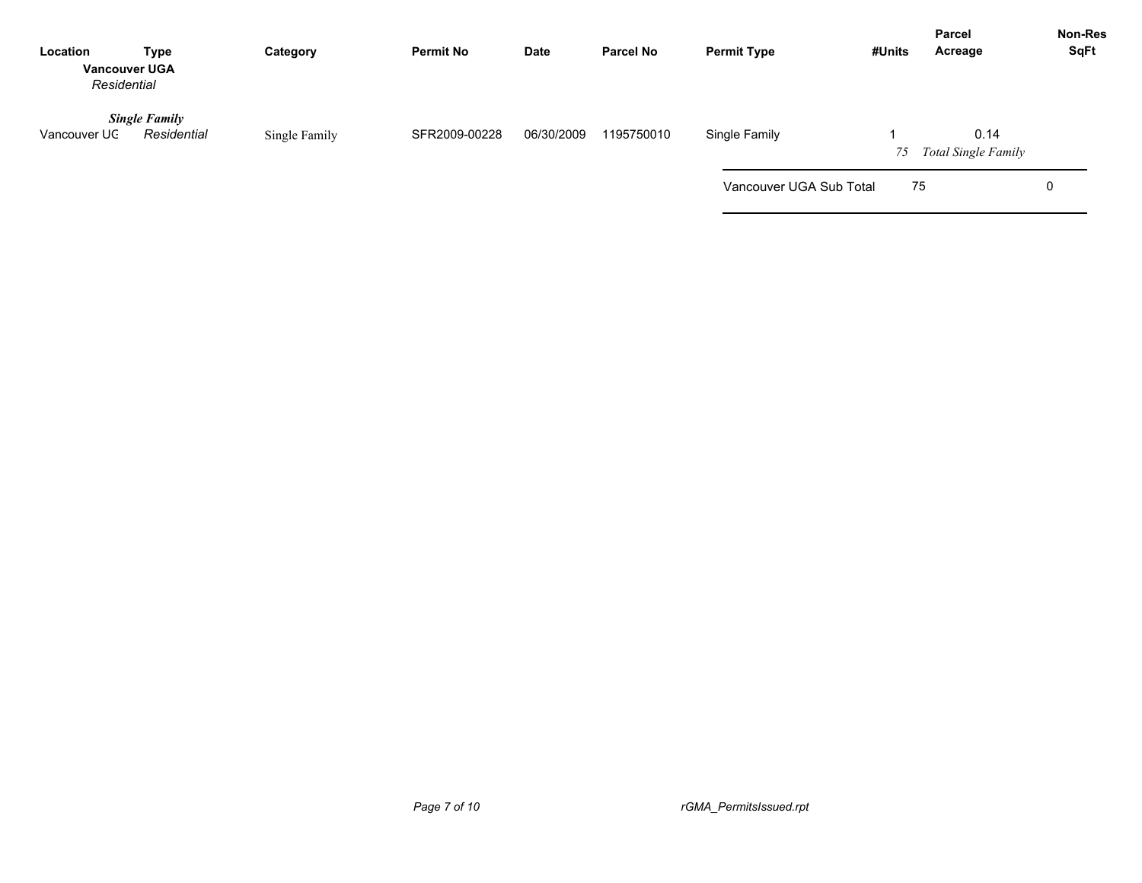| Location<br><b>Vancouver UGA</b><br>Residential | <b>Type</b>                         | Category      | <b>Permit No</b> | Date       | <b>Parcel No</b> | <b>Permit Type</b>      | #Units | <b>Parcel</b><br>Acreage           | Non-Res<br><b>SqFt</b> |
|-------------------------------------------------|-------------------------------------|---------------|------------------|------------|------------------|-------------------------|--------|------------------------------------|------------------------|
| Vancouver UC                                    | <b>Single Family</b><br>Residential | Single Family | SFR2009-00228    | 06/30/2009 | 1195750010       | Single Family           | 75     | 0.14<br><b>Total Single Family</b> |                        |
|                                                 |                                     |               |                  |            |                  | Vancouver UGA Sub Total |        | 75                                 | 0                      |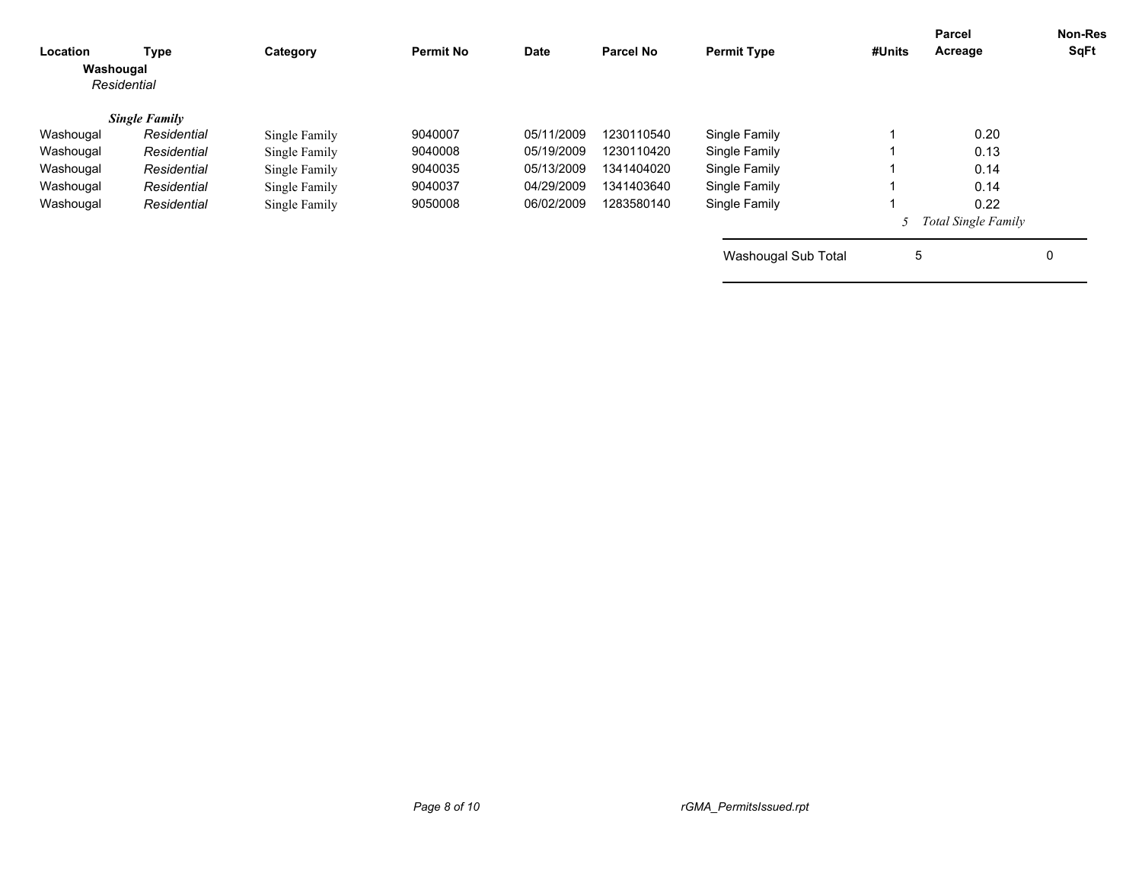| Location<br>Washougal | Type<br>Residential  | Category      | <b>Permit No</b> | <b>Date</b> | <b>Parcel No</b> | <b>Permit Type</b>  | #Units | Parcel<br>Acreage     | <b>Non-Res</b><br>SqFt |
|-----------------------|----------------------|---------------|------------------|-------------|------------------|---------------------|--------|-----------------------|------------------------|
|                       | <b>Single Family</b> |               |                  |             |                  |                     |        |                       |                        |
| Washougal             | Residential          | Single Family | 9040007          | 05/11/2009  | 1230110540       | Single Family       |        | 0.20                  |                        |
| Washougal             | Residential          | Single Family | 9040008          | 05/19/2009  | 1230110420       | Single Family       |        | 0.13                  |                        |
| Washougal             | Residential          | Single Family | 9040035          | 05/13/2009  | 1341404020       | Single Family       |        | 0.14                  |                        |
| Washougal             | Residential          | Single Family | 9040037          | 04/29/2009  | 1341403640       | Single Family       |        | 0.14                  |                        |
| Washougal             | Residential          | Single Family | 9050008          | 06/02/2009  | 1283580140       | Single Family       |        | 0.22                  |                        |
|                       |                      |               |                  |             |                  |                     |        | 5 Total Single Family |                        |
|                       |                      |               |                  |             |                  | Washougal Sub Total | 5      |                       | 0                      |
|                       |                      |               |                  |             |                  |                     |        |                       |                        |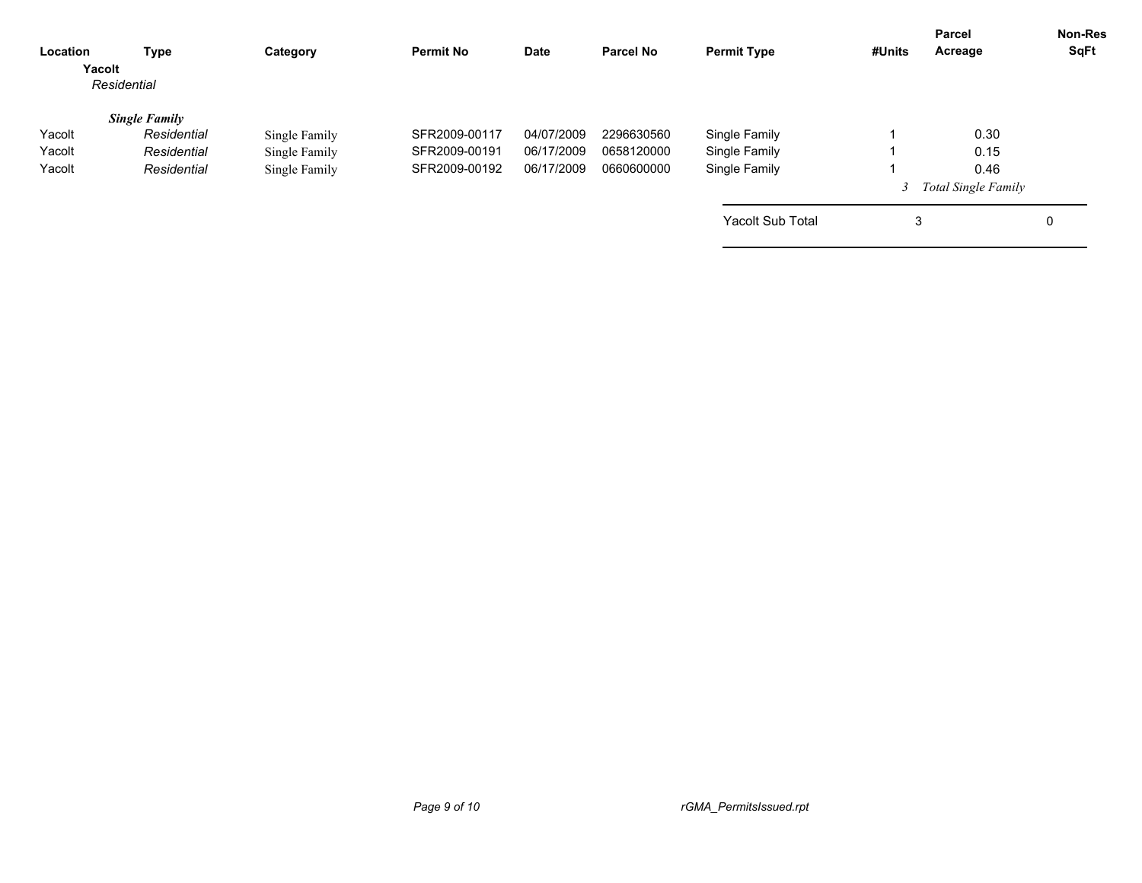| Location<br>Yacolt | Type<br>Residential  | Category      | <b>Permit No</b> | Date       | <b>Parcel No</b> | <b>Permit Type</b>      | #Units | <b>Parcel</b><br>Acreage   | <b>Non-Res</b><br>SqFt |
|--------------------|----------------------|---------------|------------------|------------|------------------|-------------------------|--------|----------------------------|------------------------|
|                    | <b>Single Family</b> |               |                  |            |                  |                         |        |                            |                        |
| Yacolt             | Residential          | Single Family | SFR2009-00117    | 04/07/2009 | 2296630560       | Single Family           |        | 0.30                       |                        |
| Yacolt             | Residential          | Single Family | SFR2009-00191    | 06/17/2009 | 0658120000       | Single Family           |        | 0.15                       |                        |
| Yacolt             | Residential          | Single Family | SFR2009-00192    | 06/17/2009 | 0660600000       | Single Family           |        | 0.46                       |                        |
|                    |                      |               |                  |            |                  |                         |        | <b>Total Single Family</b> |                        |
|                    |                      |               |                  |            |                  | <b>Yacolt Sub Total</b> | 3      |                            | 0                      |
|                    |                      |               |                  |            |                  |                         |        |                            |                        |